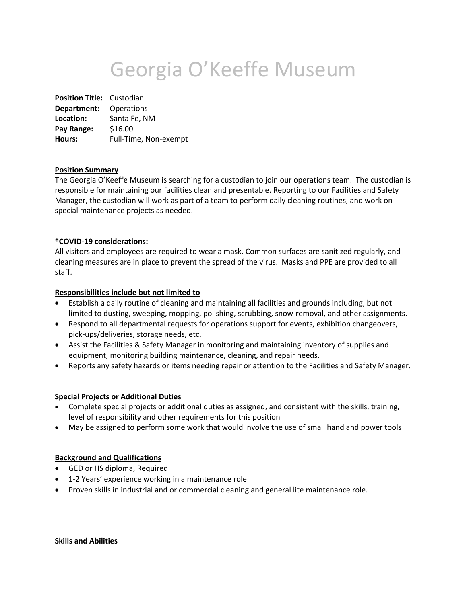# Georgia O'Keeffe Museum

**Position Title:** Custodian **Department:** Operations **Location:** Santa Fe, NM **Pay Range:** \$16.00 **Hours:** Full-Time, Non-exempt

# **Position Summary**

The Georgia O'Keeffe Museum is searching for a custodian to join our operations team. The custodian is responsible for maintaining our facilities clean and presentable. Reporting to our Facilities and Safety Manager, the custodian will work as part of a team to perform daily cleaning routines, and work on special maintenance projects as needed.

## **\*COVID-19 considerations:**

All visitors and employees are required to wear a mask. Common surfaces are sanitized regularly, and cleaning measures are in place to prevent the spread of the virus. Masks and PPE are provided to all staff.

## **Responsibilities include but not limited to**

- Establish a daily routine of cleaning and maintaining all facilities and grounds including, but not limited to dusting, sweeping, mopping, polishing, scrubbing, snow-removal, and other assignments.
- Respond to all departmental requests for operations support for events, exhibition changeovers, pick-ups/deliveries, storage needs, etc.
- Assist the Facilities & Safety Manager in monitoring and maintaining inventory of supplies and equipment, monitoring building maintenance, cleaning, and repair needs.
- Reports any safety hazards or items needing repair or attention to the Facilities and Safety Manager.

#### **Special Projects or Additional Duties**

- Complete special projects or additional duties as assigned, and consistent with the skills, training, level of responsibility and other requirements for this position
- May be assigned to perform some work that would involve the use of small hand and power tools

#### **Background and Qualifications**

- GED or HS diploma, Required
- 1-2 Years' experience working in a maintenance role
- Proven skills in industrial and or commercial cleaning and general lite maintenance role.

#### **Skills and Abilities**